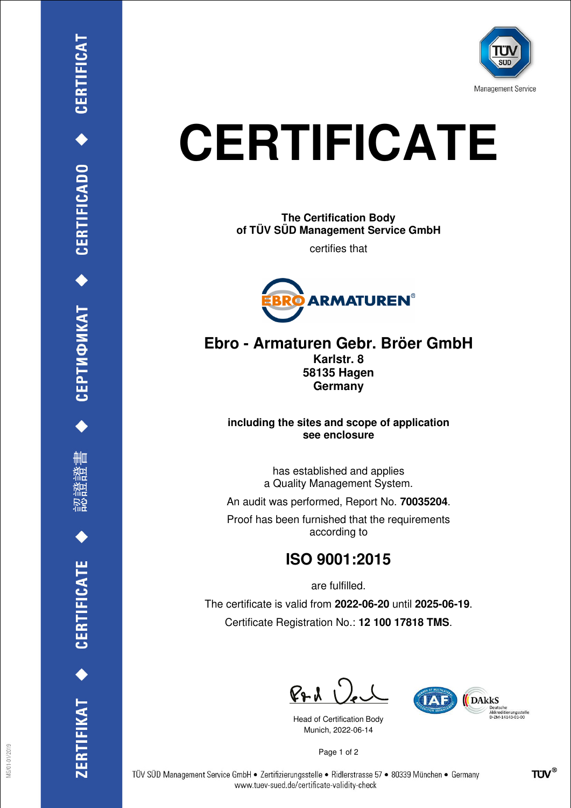

## **CERTIFICATE**

**The Certification Body of TÜV SÜD Management Service GmbH**

certifies that



**Ebro - Armaturen Gebr. Bröer GmbH Karlstr. 8 58135 Hagen Germany** 

**including the sites and scope of application see enclosure**

> has established and applies a Quality Management System.

An audit was performed, Report No. **70035204**.

Proof has been furnished that the requirements according to

## **ISO 9001:2015**

are fulfilled.

The certificate is valid from **2022-06-20** until **2025-06-19**. Certificate Registration No.: **12 100 17818 TMS**.

 $P_{P}$ d  $\bigcirc$ 

Head of Certification Body Munich, 2022-06-14



Page 1 of 2

CERTIFICAT

CEPTИФИКАТ ◆ CERTIFICADO ◆

屾

CERTIFICATE

ERTIFIKAT<sup>+</sup>

TÜV SÜD Management Service GmbH · Zertifizierungsstelle · Ridlerstrasse 57 · 80339 München · Germany www.tuev-sued.de/certificate-validity-check